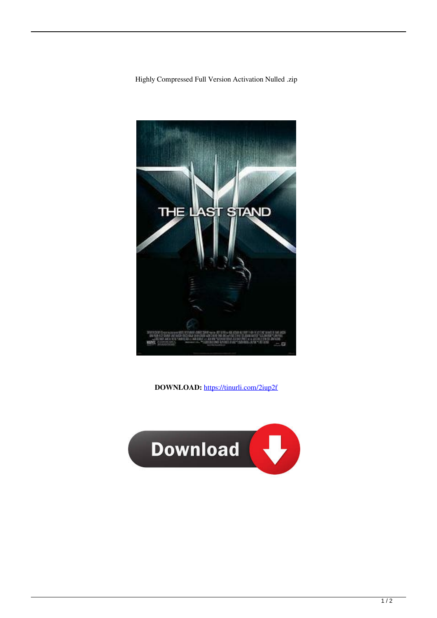



**DOWNLOAD:** <https://tinurli.com/2iup2f>